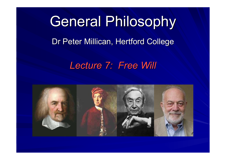# General Philosophy Dr Peter Millican, Hertford College

#### *Lecture 7: Free Will Lecture 7: Free Will*

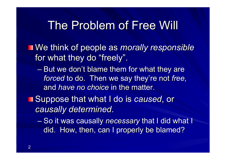#### The Problem of Free Will

**Ne think of people as** *morally responsible* for what they do "freely".

 $-$  But we don't blame them for what they are *forced* to do. Then we say they're not *free*, and *have no choice* in the matter.

**No Suppose that what I do is caused, or** *causally determined causally determined*.

– So it was causally *necessary* that I did what I did. How, then, can I properly be blamed?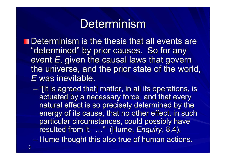# Determinism

**Determinism is the thesis that all events are** "determined" by prior causes. So for any event *E*, given the causal laws that govern the universe, and the prior state of the world, *E* was inevitable.

 $-$  "[It is agreed that] matter, in all its operations, is actuated by a necessary force, and that every natural effect is so precisely determined by the natural effect is so precisely determined by the energy of its cause, that no other effect, in such particular circumstances, could possibly have resulted from it. …" (Hume, *Enquiry*, 8.4).

– Hume thought this also true of human actions.

3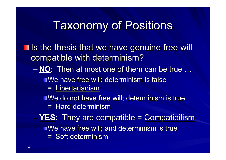# **Taxonomy of Positions**

- **If is the thesis that we have genuine free will** compatible with determinism?
	- $-$  **NO**: Then at most one of them can be true ...

 $\blacksquare$  We have free will; determinism is false

 $=$  Libertarianism

We do not have free will; determinism is true

 $=$  Hard determinism

– **YES**: They are compatible = Compatibilism  $\blacksquare$  We have free will; and determinism is true = Soft determinism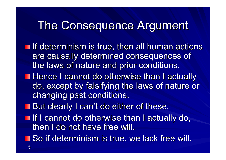# The Consequence Argument

- **If determinism is true, then all human actions** are causally determined consequences of the laws of nature and prior conditions.
- **Hence I cannot do otherwise than I actually** do, except by falsifying the laws of nature or changing past conditions.
- **But clearly I can't do either of these.**
- If I cannot do otherwise than I actually do, then I do not have free will.
- **So if determinism is true, we lack free will.**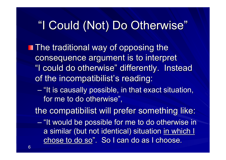# "I Could (Not) Do Otherwise"

- **The traditional way of opposing the** consequence argument is to interpret "I could do otherwise" differently. Instead of the incompatibilist's reading:
	- "It is causally possible, in that exact situation, for me to do otherwise",

the compatibilist will prefer something like:

– "It would be possible for me to do otherwise in a similar (but not identical) situation in which I chose to do so". So I can do as I choose.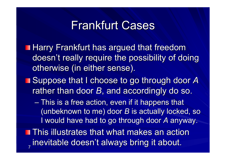### **Frankfurt Cases**

**Harry Frankfurt has argued that freedom** doesn't really require the possibility of doing otherwise (in either sense).

- **Suppose that I choose to go through door A** rather than door *B*, and accordingly do so.
	- This is a free action, even if it happens that (unbeknown to me) door *B* is actually locked, so I would have had to go through door A anyway.
- 7 **This illustrates that what makes an action** inevitable doesn't always bring it about.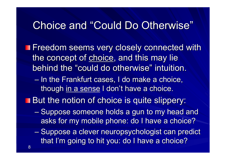#### Choice and "Could Do Otherwise"

- **The Freedom seems very closely connected with** the concept of choice, and this may lie behind the "could do otherwise" intuition.
	- In the Frankfurt cases, I do make a choice, though in a sense I don't have a choice.
- **But the notion of choice is quite slippery:** 
	- Suppose someone holds a gun to my head and asks for my mobile phone: do I have a choice?
	- Suppose a clever neuropsychologist can predict that I'm going to hit you: do I have a choice?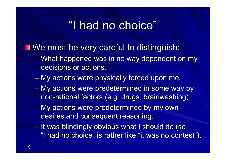# "I had no choice"

#### We must be very careful to distinguish:

- What happened was in no way dependent on my decisions or actions.
- My actions were physically forced upon me.
- My actions were predetermined in some way by non-rational factors (e.g. drugs, brainwashing).
- My actions were predetermined by my own desires and consequent reasoning.
- It was blindingly obvious what I should do (so It was blindingly obvious what I should do (so "I had no choice" is rather like "it was no contest").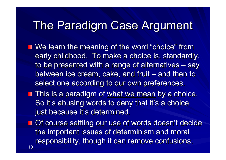# The Paradigm Case Argument

- **Notarnally in the meaning of the word "choice" from** early childhood. To make a choice is, standardly, to be presented with a range of alternatives – say between ice cream, cake, and fruit – and then to select one according to our own preferences.
- **This is a paradigm of what we mean by a choice.** So it's abusing words to deny that it's a choice just because it's determined.
- 10 **Of course settling our use of words doesn't decide I** the important issues of determinism and moral responsibility, though it can remove confusions.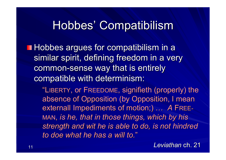# Hobbes' Compatibilism

 $\blacksquare$  Hobbes argues for compatibilism in a similar spirit, defining freedom in a very common-sense way that is entirely compatible with determinism:

"LIBERTY, or FREEDOME, signifieth (properly) the absence of Opposition (by Opposition, I mean externall Impediments of motion;) … A FREE-MAN, *is he, that in those things, which by his is he, that in those things, which by his strength and wit he is able to do, is not hindred to doe what he has a will to. to doe what he has a will to.*"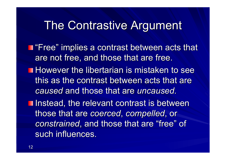### The Contrastive Argument

- **T** "Free" implies a contrast between acts that are not free, and those that are free.
- **However the libertarian is mistaken to see** this as the contrast between acts that are *caused* and those that are *uncaused*.
- **Instead, the relevant contrast is between** those that are those that are *coerced coerced*, *compelled compelled*, or *constrained*, and those that are "free" of such influences.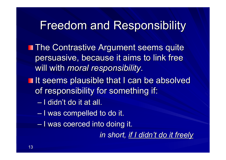#### Freedom and Responsibility Freedom and Responsibility

- **The Contrastive Argument seems quite** persuasive, because it aims to link free will with *moral responsibility*.
- **If seems plausible that I can be absolved** of responsibility for something if:
	- $-$  I didn't do it at all.
	- I was compelled to do it.
	- I was coerced into doing it.

*in short, if I didn't do it freely*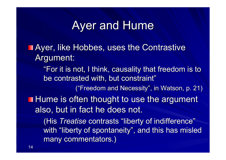# Ayer and Hume

**Ayer, like Hobbes, uses the Contrastive** Argument:

"For it is not, I think, causality that freedom is to be contrasted with, but constraint"

("Freedom and Necessity", in Watson, p. 21)

 $\blacksquare$  Hume is often thought to use the argument also, but in fact he does not.

(His *Treatise* contrasts "liberty of indifference" with "liberty of spontaneity", and this has misled many commentators.)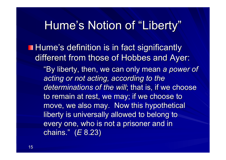#### Hume's Notion of "Liberty"

**Hume's definition is in fact significantly** different from those of Hobbes and Ayer: "By liberty, then, we can only mean a power of *acting or not acting, according to the acting or not acting, according to the* determinations of the will; that is, if we choose to remain at rest, we may; if we choose to move, we also may. Now this hypothetical liberty is universally allowed to belong to every one, who is not a prisoner and in chains. chains." (*E* 8.23)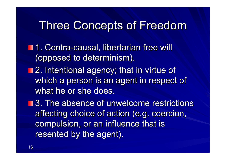# Three Concepts of Freedom

- **1. Contra-causal, libertarian free will** (opposed to determinism).
- **12. Intentional agency; that in virtue of** which a person is an agent in respect of what he or she does.

■ 3. The absence of unwelcome restrictions affecting choice of action (e.g. coercion, compulsion, or an influence that is resented by the agent).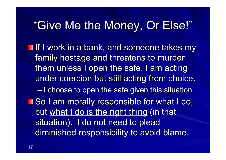# "Give Me the Money, Or Else!"

If I work in a bank, and someone takes my family hostage and threatens to murder them unless I open the safe, I am acting under coercion but still acting from choice. – I choose to open the safe given this situation. **So I am morally responsible for what I do,** but what I do is the right thing (in that situation). I do not need to plead diminished responsibility to avoid blame.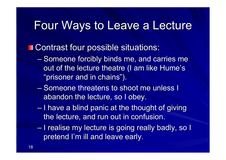#### Four Ways to Leave a Lecture

#### **T** Contrast four possible situations:

- Someone forcibly binds me, and carries me out of the lecture theatre (I am like Hume's "prisoner and in chains").
- Someone threatens to shoot me unless I abandon the lecture, so I obey.
- $-1$  have a blind panic at the thought of giving the lecture, and run out in confusion.
- I realise my lecture is going really badly, so I I realise my lecture is going really badly, so I pretend I'm ill and leave early.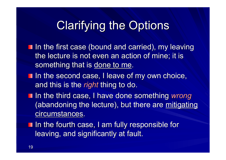# **Clarifying the Options**

- In the first case (bound and carried), my leaving the lecture is not even an action of mine; it is something that is done to me.
- In the second case, I leave of my own choice, and this is the *right* thing to do.
- **If a** In the third case, I have done something *wrong* (abandoning the lecture), but there are mitigating circumstances.
- I In the fourth case, I am fully responsible for leaving, and significantly at fault.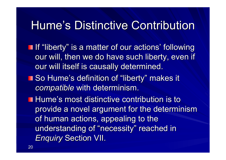# Hume's Distinctive Contribution

- **If "liberty" is a matter of our actions' following** our will, then we do have such liberty, even if our will itself is causally determined.
- **So Hume's definition of "liberty" makes it makes it** *compatible* with determinism.
- **Hume's most distinctive contribution is to** provide a novel argument for the determinism of human actions, appealing to the understanding of "necessity" reached in *Enquiry* Section VII.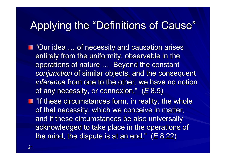### Applying the "Definitions of Cause"

- **T** "Our idea ... of necessity and causation arises entirely from the uniformity, observable in the operations of nature ... Beyond the constant *conjunction* of similar objects, and the consequent *inference* from one to the other, we have no notion of any necessity, or connexion."  $(E 8.5)$
- **If these circumstances form, in reality, the whole** of that necessity, which we conceive in matter, and if these circumstances be also universally acknowledged to take place in the operations of the mind, the dispute is at an end."  $(E 8.22)$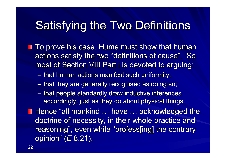# Satisfying the Two Definitions

- **To prove his case, Hume must show that human** actions satisfy the two "definitions of cause". So most of Section VIII Part i is devoted to arguing:
	- that human actions manifest such uniformity;
	- that they are generally recognised as doing so; that they are generally recognised as doing so;
	- that people standardly draw inductive inferences accordingly, just as they do about physical things.
- **Hence "all mankind ... have ... acknowledged the** doctrine of necessity, in their whole practice and reasoning", even while "profess[ing] the contrary opinion" (*E* 8.21).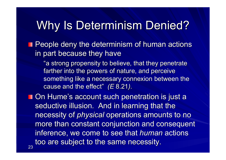# Why Is Determinism Denied?

**People deny the determinism of human actions** in part because they have

"a strong propensity to believe, that they penetrate farther into the powers of nature, and perceive something like a necessary connexion between the cause and the effect" *(E* 8.21).

**Don Hume's account such penetration is just a** seductive illusion. And in learning that the necessity of *physical* operations amounts to no more than constant conjunction and consequent inference, we come to see that *human* actions too are subject to the same necessity.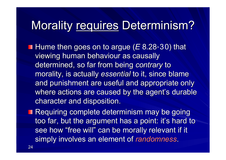# Morality requires Determinism?

- **Hume then goes on to argue (***E* **8.28-30) that** viewing human behaviour as causally determined, so far from being determined, so far from being *contrary contrary* to morality, is actually essential to it, since blame and punishment are useful and appropriate only where actions are caused by the agent's durable character and disposition.
- **Requiring complete determinism may be going Requiring complete determinism may be going** too far, but the argument has a point: it's hard to see how "free will" can be morally relevant if it simply involves an element of randomness.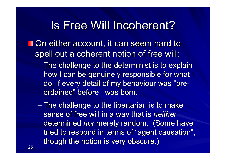# Is Free Will Incoherent?

- **On either account, it can seem hard to** spell out a coherent notion of free will:
	- The challenge to the determinist is to explain how I can be genuinely responsible for what I do, if every detail of my behaviour was "preordained" before I was born.
	- $-$  The challenge to the libertarian is to make sense of free will in a way that is *neither* determined nor merely random. (Some have tried to respond in terms of "agent causation", though the notion is very obscure.)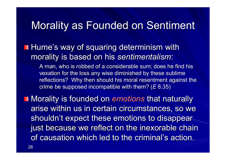#### Morality as Founded on Sentiment

 $\blacksquare$  Hume's way of squaring determinism with morality is based on his *sentimentalism*:

> A man, who is robbed of a considerable sum; does he find his vexation for the loss any wise diminished by these sublime reflections? Why then should his moral resentment against the crime be supposed incompatible with them? (*E* 8.35)

**Morality is founded on emotions that naturally is founded on emotions that naturally** arise within us in certain circumstances, so we shouldn't expect these emotions to disappear just because we reflect on the inexorable chain of causation which led to the criminal's action.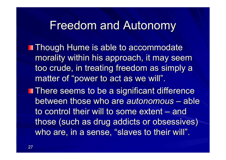#### **Freedom and Autonomy**

- **Though Hume is able to accommodate** morality within his approach, it may seem too crude, in treating freedom as simply a matter of "power to act as we will".
- **There seems to be a significant difference** between those who are *autonomous –* able to control their will to some extent – and those (such as drug addicts or obsessives) who are, in a sense, "slaves to their will".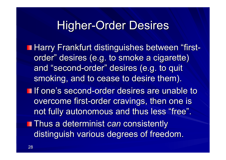#### **Higher-Order Desires**

**Harry Frankfurt distinguishes between "first**order" desires (e.g. to smoke a cigarette) and "second-order" desires (e.g. to quit smoking, and to cease to desire them).

If one's second-order desires are unable to overcome first-order cravings, then one is not fully autonomous and thus less "free".

**Thus a determinist** *can* consistently distinguish various degrees of freedom.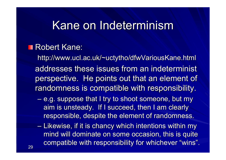#### Kane on Indeterminism

#### **Robert Kane:**

http://www.ucl.ac.uk/~uctytho/dfwVariousKane.html addresses these issues from an indeterminist perspective. He points out that an element of randomness is compatible with responsibility.

- e.g. suppose that I try to shoot someone, but my aim is unsteady. If I succeed, then I am clearly responsible, despite the element of randomness.
- Likewise, if it is chancy which intentions within my Likewise, if it is chancy which intentions within my mind will dominate on some occasion, this is quite compatible with responsibility for whichever "wins".